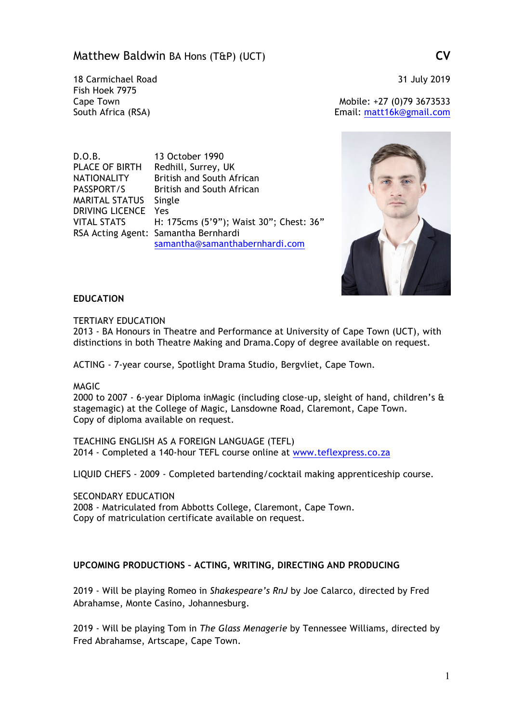# Matthew Baldwin BA Hons (T&P) (UCT) **CV**

18 Carmichael Road 31 July 2019 Fish Hoek 7975

Cape Town Mobile: +27 (0)79 3673533 South Africa (RSA) Email: matt16k@gmail.com

D.O.B. 13 October 1990 PLACE OF BIRTH Redhill, Surrey, UK NATIONALITY British and South African PASSPORT/S British and South African MARITAL STATUS Single DRIVING LICENCE Yes VITAL STATS H: 175cms (5'9"); Waist 30"; Chest: 36" RSA Acting Agent: Samantha Bernhardi samantha@samanthabernhardi.com



### **EDUCATION**

TERTIARY EDUCATION

2013 - BA Honours in Theatre and Performance at University of Cape Town (UCT), with distinctions in both Theatre Making and Drama.Copy of degree available on request.

ACTING - 7-year course, Spotlight Drama Studio, Bergvliet, Cape Town.

MAGIC

2000 to 2007 - 6-year Diploma inMagic (including close-up, sleight of hand, children's & stagemagic) at the College of Magic, Lansdowne Road, Claremont, Cape Town. Copy of diploma available on request.

TEACHING ENGLISH AS A FOREIGN LANGUAGE (TEFL) 2014 - Completed a 140-hour TEFL course online at www.teflexpress.co.za

LIQUID CHEFS - 2009 - Completed bartending/cocktail making apprenticeship course.

SECONDARY EDUCATION

2008 - Matriculated from Abbotts College, Claremont, Cape Town. Copy of matriculation certificate available on request.

## **UPCOMING PRODUCTIONS – ACTING, WRITING, DIRECTING AND PRODUCING**

2019 - Will be playing Romeo in *Shakespeare's RnJ* by Joe Calarco, directed by Fred Abrahamse, Monte Casino, Johannesburg.

2019 - Will be playing Tom in *The Glass Menagerie* by Tennessee Williams, directed by Fred Abrahamse, Artscape, Cape Town.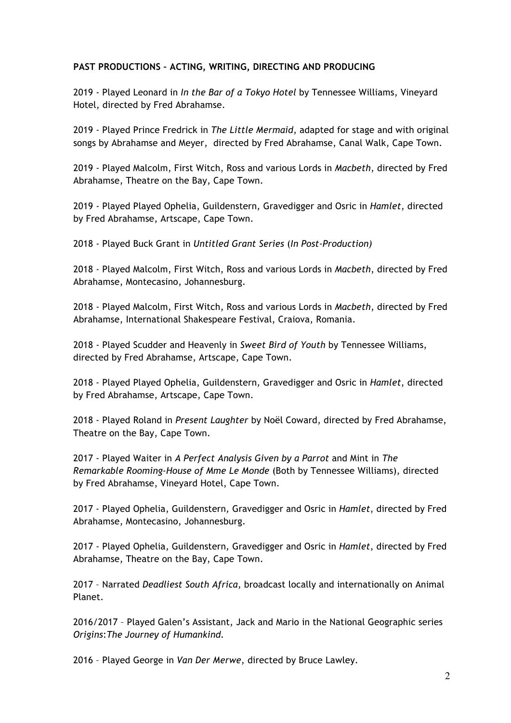## **PAST PRODUCTIONS – ACTING, WRITING, DIRECTING AND PRODUCING**

2019 - Played Leonard in *In the Bar of a Tokyo Hotel* by Tennessee Williams, Vineyard Hotel, directed by Fred Abrahamse.

2019 - Played Prince Fredrick in *The Little Mermaid*, adapted for stage and with original songs by Abrahamse and Meyer, directed by Fred Abrahamse, Canal Walk, Cape Town.

2019 - Played Malcolm, First Witch, Ross and various Lords in *Macbeth*, directed by Fred Abrahamse, Theatre on the Bay, Cape Town.

2019 - Played Played Ophelia, Guildenstern*,* Gravedigger and Osric in *Hamlet*, directed by Fred Abrahamse, Artscape, Cape Town.

2018 - Played Buck Grant in *Untitled Grant Series* (*In Post-Production)*

2018 - Played Malcolm, First Witch, Ross and various Lords in *Macbeth*, directed by Fred Abrahamse, Montecasino, Johannesburg.

2018 - Played Malcolm, First Witch, Ross and various Lords in *Macbeth*, directed by Fred Abrahamse, International Shakespeare Festival, Craiova, Romania.

2018 - Played Scudder and Heavenly in *Sweet Bird of Youth* by Tennessee Williams, directed by Fred Abrahamse, Artscape, Cape Town.

2018 - Played Played Ophelia, Guildenstern*,* Gravedigger and Osric in *Hamlet*, directed by Fred Abrahamse, Artscape, Cape Town.

2018 - Played Roland in *Present Laughter* by Noël Coward, directed by Fred Abrahamse, Theatre on the Bay, Cape Town.

2017 - Played Waiter in *A Perfect Analysis Given by a Parrot* and Mint in *The Remarkable Rooming-House of Mme Le Monde* (Both by Tennessee Williams), directed by Fred Abrahamse, Vineyard Hotel, Cape Town.

2017 - Played Ophelia, Guildenstern*,* Gravedigger and Osric in *Hamlet*, directed by Fred Abrahamse, Montecasino, Johannesburg.

2017 - Played Ophelia, Guildenstern*,* Gravedigger and Osric in *Hamlet*, directed by Fred Abrahamse, Theatre on the Bay, Cape Town.

2017 – Narrated *Deadliest South Africa*, broadcast locally and internationally on Animal Planet.

2016/2017 – Played Galen's Assistant, Jack and Mario in the National Geographic series *Origins*:*The Journey of Humankind.* 

2016 – Played George in *Van Der Merwe*, directed by Bruce Lawley.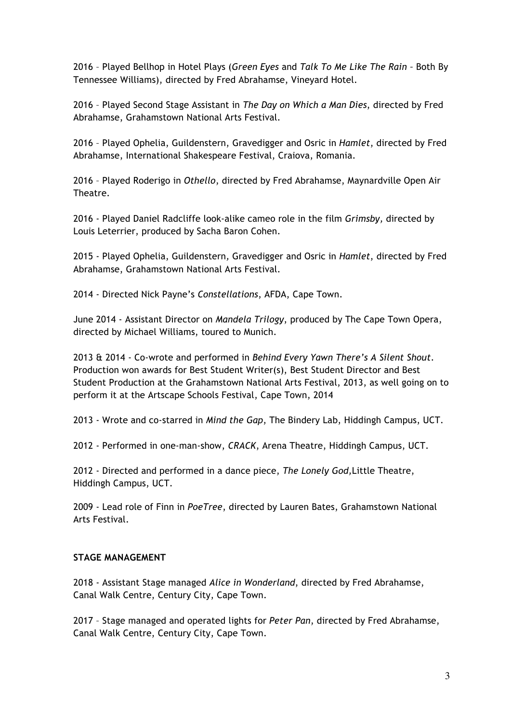2016 – Played Bellhop in Hotel Plays (*Green Eyes* and *Talk To Me Like The Rain –* Both By Tennessee Williams), directed by Fred Abrahamse, Vineyard Hotel.

2016 – Played Second Stage Assistant in *The Day on Which a Man Dies*, directed by Fred Abrahamse, Grahamstown National Arts Festival.

2016 – Played Ophelia, Guildenstern, Gravedigger and Osric in *Hamlet*, directed by Fred Abrahamse, International Shakespeare Festival, Craiova, Romania.

2016 – Played Roderigo in *Othello*, directed by Fred Abrahamse, Maynardville Open Air Theatre.

2016 - Played Daniel Radcliffe look-alike cameo role in the film *Grimsby,* directed by Louis Leterrier, produced by Sacha Baron Cohen.

2015 - Played Ophelia, Guildenstern*,* Gravedigger and Osric in *Hamlet*, directed by Fred Abrahamse, Grahamstown National Arts Festival.

2014 - Directed Nick Payne's *Constellations*, AFDA, Cape Town.

June 2014 - Assistant Director on *Mandela Trilogy*, produced by The Cape Town Opera, directed by Michael Williams, toured to Munich.

2013 & 2014 - Co-wrote and performed in *Behind Every Yawn There's A Silent Shout*. Production won awards for Best Student Writer(s), Best Student Director and Best Student Production at the Grahamstown National Arts Festival, 2013, as well going on to perform it at the Artscape Schools Festival, Cape Town, 2014

2013 - Wrote and co-starred in *Mind the Gap*, The Bindery Lab, Hiddingh Campus, UCT.

2012 - Performed in one-man-show, *CRACK*, Arena Theatre, Hiddingh Campus, UCT.

2012 - Directed and performed in a dance piece, *The Lonely God,*Little Theatre, Hiddingh Campus, UCT.

2009 - Lead role of Finn in *PoeTree*, directed by Lauren Bates, Grahamstown National Arts Festival.

### **STAGE MANAGEMENT**

2018 - Assistant Stage managed *Alice in Wonderland*, directed by Fred Abrahamse, Canal Walk Centre, Century City, Cape Town.

2017 – Stage managed and operated lights for *Peter Pan*, directed by Fred Abrahamse, Canal Walk Centre, Century City, Cape Town.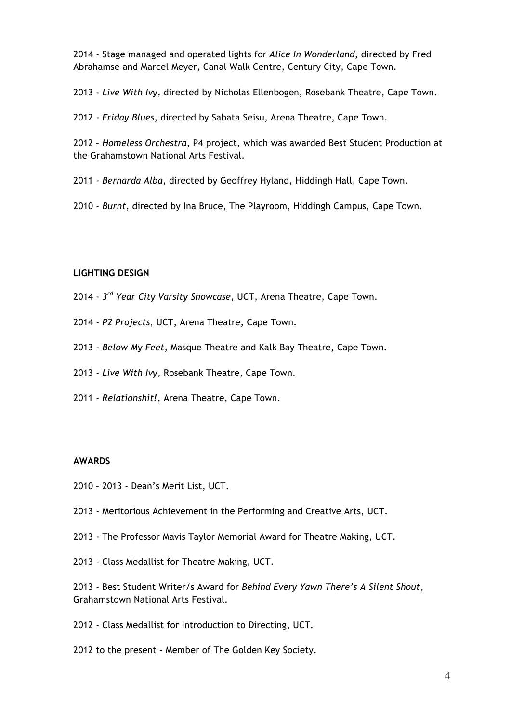2014 - Stage managed and operated lights for *Alice In Wonderland*, directed by Fred Abrahamse and Marcel Meyer, Canal Walk Centre, Century City, Cape Town.

2013 - *Live With Ivy,* directed by Nicholas Ellenbogen, Rosebank Theatre, Cape Town.

2012 - *Friday Blues*, directed by Sabata Seisu, Arena Theatre, Cape Town.

2012 – *Homeless Orchestra*, P4 project, which was awarded Best Student Production at the Grahamstown National Arts Festival.

2011 - *Bernarda Alba*, directed by Geoffrey Hyland, Hiddingh Hall, Cape Town.

2010 - *Burnt*, directed by Ina Bruce, The Playroom, Hiddingh Campus, Cape Town.

#### **LIGHTING DESIGN**

- 2014 *3rd Year City Varsity Showcase*, UCT, Arena Theatre, Cape Town.
- 2014 *P2 Projects*, UCT, Arena Theatre, Cape Town.
- 2013 *Below My Feet,* Masque Theatre and Kalk Bay Theatre, Cape Town.
- 2013 *Live With Ivy,* Rosebank Theatre, Cape Town.
- 2011 *Relationshit!*, Arena Theatre, Cape Town.

#### **AWARDS**

- 2010 2013 Dean's Merit List, UCT.
- 2013 Meritorious Achievement in the Performing and Creative Arts, UCT.
- 2013 The Professor Mavis Taylor Memorial Award for Theatre Making, UCT.
- 2013 Class Medallist for Theatre Making, UCT.

2013 - Best Student Writer/s Award for *Behind Every Yawn There's A Silent Shout*, Grahamstown National Arts Festival.

- 2012 Class Medallist for Introduction to Directing, UCT.
- 2012 to the present Member of The Golden Key Society.